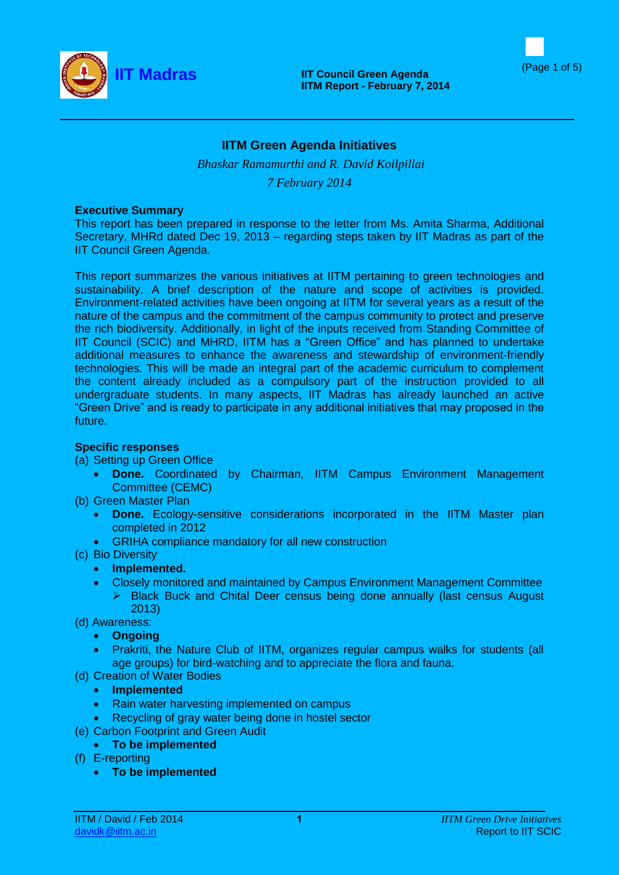



# **IITM Green Agenda Initiatives**

*Bhaskar Ramamurthi and R. David Koilpillai 7 February 2014*

#### **Executive Summary**

This report has been prepared in response to the letter from Ms. Amita Sharma, Additional Secretary, MHRd dated Dec 19, 2013 – regarding steps taken by IIT Madras as part of the IIT Council Green Agenda.

This report summarizes the various initiatives at IITM pertaining to green technologies and sustainability. A brief description of the nature and scope of activities is provided. Environment-related activities have been ongoing at IITM for several years as a result of the nature of the campus and the commitment of the campus community to protect and preserve the rich biodiversity. Additionally, in light of the inputs received from Standing Committee of IIT Council (SCIC) and MHRD, IITM has a "Green Office" and has planned to undertake additional measures to enhance the awareness and stewardship of environment-friendly technologies. This will be made an integral part of the academic curriculum to complement the content already included as a compulsory part of the instruction provided to all undergraduate students. In many aspects, IIT Madras has already launched an active "Green Drive" and is ready to participate in any additional initiatives that may proposed in the future.

# **Specific responses**

# (a) Setting up Green Office

- **Done.** Coordinated by Chairman, IITM Campus Environment Management Committee (CEMC)
- (b) Green Master Plan
	- **Done.** Ecology-sensitive considerations incorporated in the IITM Master plan completed in 2012
	- GRIHA compliance mandatory for all new construction
- (c) Bio Diversity
	- **Implemented.**
	- Closely monitored and maintained by Campus Environment Management Committee ▶ Black Buck and Chital Deer census being done annually (last census August 2013)
- (d) Awareness:
	- **Ongoing**
	- Prakriti, the Nature Club of IITM, organizes regular campus walks for students (all age groups) for bird-watching and to appreciate the flora and fauna.
- (d) Creation of Water Bodies
	- **Implemented**
	- Rain water harvesting implemented on campus
	- Recycling of gray water being done in hostel sector
- (e) Carbon Footprint and Green Audit
	- **To be implemented**
- (f) E-reporting
	- **To be implemented**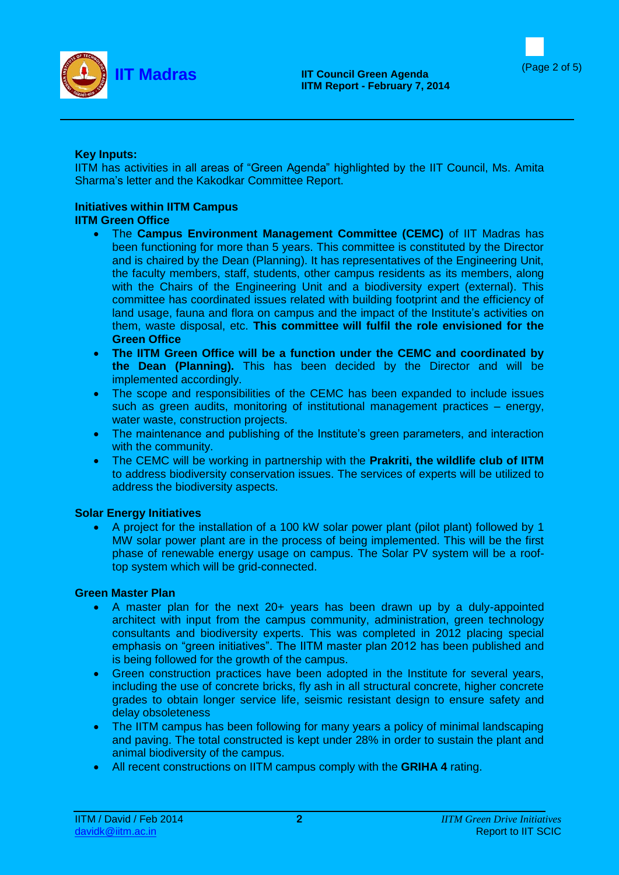



# **Key Inputs:**

IITM has activities in all areas of "Green Agenda" highlighted by the IIT Council, Ms. Amita Sharma's letter and the Kakodkar Committee Report.

# **Initiatives within IITM Campus**

# **IITM Green Office**

- The **Campus Environment Management Committee (CEMC)** of IIT Madras has been functioning for more than 5 years. This committee is constituted by the Director and is chaired by the Dean (Planning). It has representatives of the Engineering Unit, the faculty members, staff, students, other campus residents as its members, along with the Chairs of the Engineering Unit and a biodiversity expert (external). This committee has coordinated issues related with building footprint and the efficiency of land usage, fauna and flora on campus and the impact of the Institute's activities on them, waste disposal, etc. **This committee will fulfil the role envisioned for the Green Office**
- **The IITM Green Office will be a function under the CEMC and coordinated by the Dean (Planning).** This has been decided by the Director and will be implemented accordingly.
- The scope and responsibilities of the CEMC has been expanded to include issues such as green audits, monitoring of institutional management practices – energy, water waste, construction projects.
- The maintenance and publishing of the Institute's green parameters, and interaction with the community.
- The CEMC will be working in partnership with the **Prakriti, the wildlife club of IITM** to address biodiversity conservation issues. The services of experts will be utilized to address the biodiversity aspects.

# **Solar Energy Initiatives**

 A project for the installation of a 100 kW solar power plant (pilot plant) followed by 1 MW solar power plant are in the process of being implemented. This will be the first phase of renewable energy usage on campus. The Solar PV system will be a rooftop system which will be grid-connected.

# **Green Master Plan**

- A master plan for the next 20+ years has been drawn up by a duly-appointed architect with input from the campus community, administration, green technology consultants and biodiversity experts. This was completed in 2012 placing special emphasis on "green initiatives". The IITM master plan 2012 has been published and is being followed for the growth of the campus.
- Green construction practices have been adopted in the Institute for several years, including the use of concrete bricks, fly ash in all structural concrete, higher concrete grades to obtain longer service life, seismic resistant design to ensure safety and delay obsoleteness
- The IITM campus has been following for many years a policy of minimal landscaping and paving. The total constructed is kept under 28% in order to sustain the plant and animal biodiversity of the campus.
- All recent constructions on IITM campus comply with the **GRIHA 4** rating.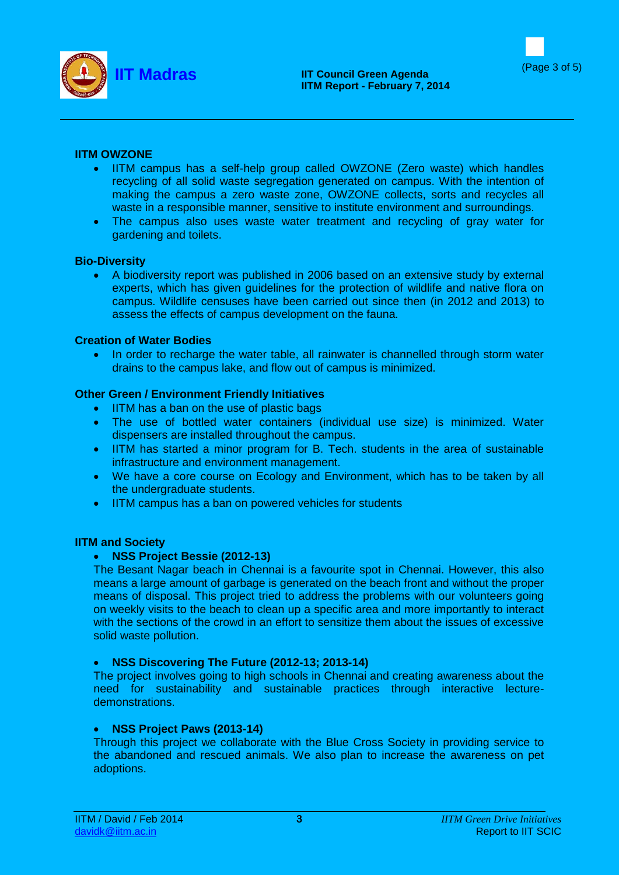



# **IITM OWZONE**

- IITM campus has a self-help group called OWZONE (Zero waste) which handles recycling of all solid waste segregation generated on campus. With the intention of making the campus a zero waste zone, OWZONE collects, sorts and recycles all waste in a responsible manner, sensitive to institute environment and surroundings.
- The campus also uses waste water treatment and recycling of gray water for gardening and toilets.

#### **Bio-Diversity**

 A biodiversity report was published in 2006 based on an extensive study by external experts, which has given guidelines for the protection of wildlife and native flora on campus. Wildlife censuses have been carried out since then (in 2012 and 2013) to assess the effects of campus development on the fauna.

#### **Creation of Water Bodies**

• In order to recharge the water table, all rainwater is channelled through storm water drains to the campus lake, and flow out of campus is minimized.

#### **Other Green / Environment Friendly Initiatives**

- IITM has a ban on the use of plastic bags
- The use of bottled water containers (individual use size) is minimized. Water dispensers are installed throughout the campus.
- IITM has started a minor program for B. Tech. students in the area of sustainable infrastructure and environment management.
- We have a core course on Ecology and Environment, which has to be taken by all the undergraduate students.
- IITM campus has a ban on powered vehicles for students

#### **IITM and Society**

# **NSS Project Bessie (2012-13)**

The Besant Nagar beach in Chennai is a favourite spot in Chennai. However, this also means a large amount of garbage is generated on the beach front and without the proper means of disposal. This project tried to address the problems with our volunteers going on weekly visits to the beach to clean up a specific area and more importantly to interact with the sections of the crowd in an effort to sensitize them about the issues of excessive solid waste pollution.

# **NSS Discovering The Future (2012-13; 2013-14)**

The project involves going to high schools in Chennai and creating awareness about the need for sustainability and sustainable practices through interactive lecturedemonstrations.

# **NSS Project Paws (2013-14)**

Through this project we collaborate with the Blue Cross Society in providing service to the abandoned and rescued animals. We also plan to increase the awareness on pet adoptions.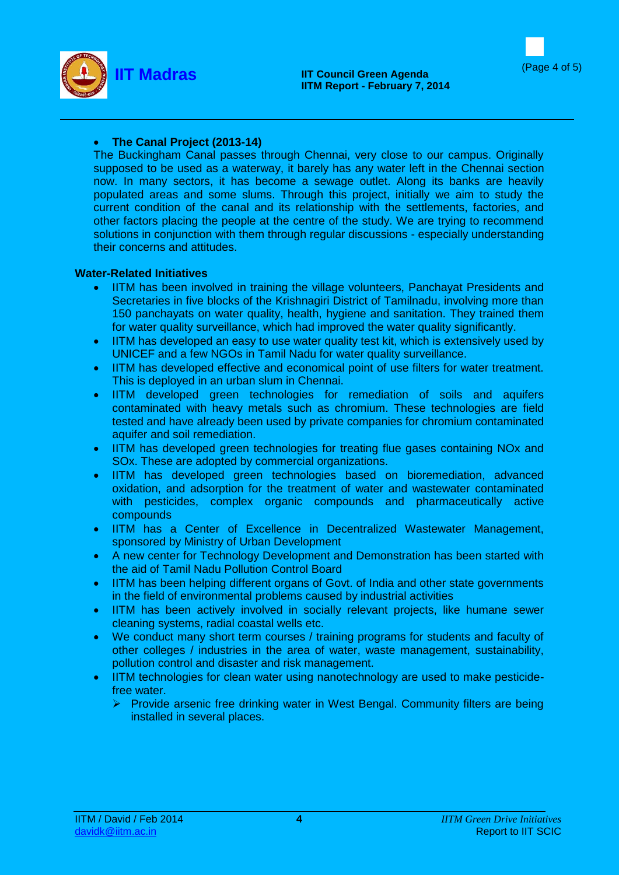



# **The Canal Project (2013-14)**

The Buckingham Canal passes through Chennai, very close to our campus. Originally supposed to be used as a waterway, it barely has any water left in the Chennai section now. In many sectors, it has become a sewage outlet. Along its banks are heavily populated areas and some slums. Through this project, initially we aim to study the current condition of the canal and its relationship with the settlements, factories, and other factors placing the people at the centre of the study. We are trying to recommend solutions in conjunction with them through regular discussions - especially understanding their concerns and attitudes.

# **Water-Related Initiatives**

- IITM has been involved in training the village volunteers, Panchayat Presidents and Secretaries in five blocks of the Krishnagiri District of Tamilnadu, involving more than 150 panchayats on water quality, health, hygiene and sanitation. They trained them for water quality surveillance, which had improved the water quality significantly.
- IITM has developed an easy to use water quality test kit, which is extensively used by UNICEF and a few NGOs in Tamil Nadu for water quality surveillance.
- IITM has developed effective and economical point of use filters for water treatment. This is deployed in an urban slum in Chennai.
- IITM developed green technologies for remediation of soils and aquifers contaminated with heavy metals such as chromium. These technologies are field tested and have already been used by private companies for chromium contaminated aquifer and soil remediation.
- IITM has developed green technologies for treating flue gases containing NOx and SOx. These are adopted by commercial organizations.
- IITM has developed green technologies based on bioremediation, advanced oxidation, and adsorption for the treatment of water and wastewater contaminated with pesticides, complex organic compounds and pharmaceutically active compounds
- IITM has a Center of Excellence in Decentralized Wastewater Management, sponsored by Ministry of Urban Development
- A new center for Technology Development and Demonstration has been started with the aid of Tamil Nadu Pollution Control Board
- IITM has been helping different organs of Govt. of India and other state governments in the field of environmental problems caused by industrial activities
- IITM has been actively involved in socially relevant projects, like humane sewer cleaning systems, radial coastal wells etc.
- We conduct many short term courses / training programs for students and faculty of other colleges / industries in the area of water, waste management, sustainability, pollution control and disaster and risk management.
- IITM technologies for clean water using nanotechnology are used to make pesticidefree water.
	- $\triangleright$  Provide arsenic free drinking water in West Bengal. Community filters are being installed in several places.